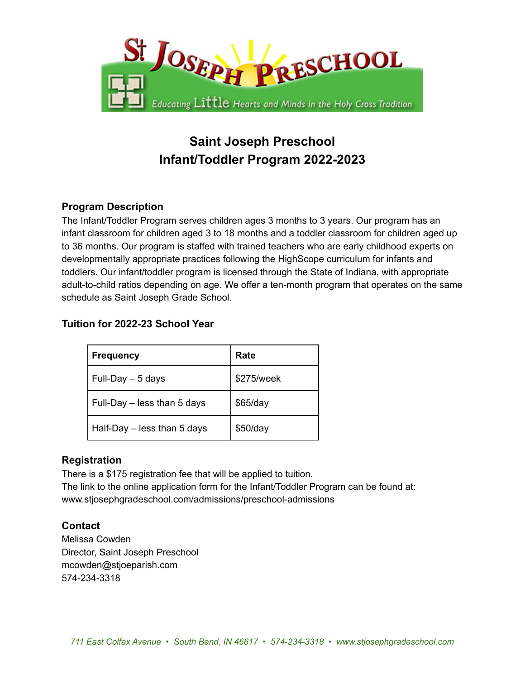

# **Saint Joseph Preschool Infant/Toddler Program 2022-2023**

## **Program Description**

The Infant/Toddler Program serves children ages 3 months to 3 years. Our program has an infant classroom for children aged 3 to 18 months and a toddler classroom for children aged up to 36 months. Our program is staffed with trained teachers who are early childhood experts on developmentally appropriate practices following the HighScope curriculum for infants and toddlers. Our infant/toddler program is licensed through the State of Indiana, with appropriate adult-to-child ratios depending on age. We offer a ten-month program that operates on the same schedule as Saint Joseph Grade School.

### **Tuition for 2022-23 School Year**

| <b>Frequency</b>            | Rate       |
|-----------------------------|------------|
| Full-Day - 5 days           | \$275/week |
| Full-Day - less than 5 days | \$65/day   |
| Half-Day - less than 5 days | \$50/day   |

### **Registration**

There is a \$175 registration fee that will be applied to tuition. The link to the online application form for the Infant/Toddler Program can be found at: www.stjosephgradeschool.com/admissions/preschool-admissions

### **Contact**

Melissa Cowden Director, Saint Joseph Preschool mcowden@stjoeparish.com 574-234-3318